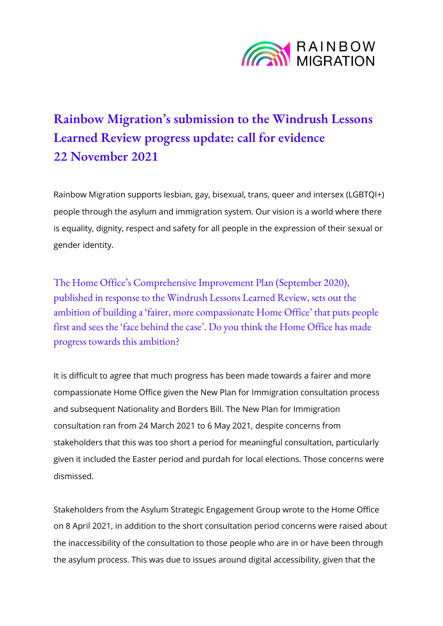

## **Rainbow Migration's submission to the Windrush Lessons Learned Review progress update: call for evidence 22 November 2021**

Rainbow Migration supports lesbian, gay, bisexual, trans, queer and intersex (LGBTQI+) people through the asylum and immigration system. Our vision is a world where there is equality, dignity, respect and safety for all people in the expression of their sexual or gender identity.

The [Home Office's Comprehensive Improvement Plan \(September 2020\)](https://www.gov.uk/government/publications/windrush-lessons-learned-review-response-comprehensive-improvement-plan), published in response to the [Windrush Lessons Learned Review,](https://www.gov.uk/government/publications/windrush-lessons-learned-review) sets out the ambition of building a 'fairer, more compassionate Home Office' that puts people first and sees the 'face behind the case'. Do you think the Home Office has made progress towards this ambition?

It is difficult to agree that much progress has been made towards a fairer and more compassionate Home Office given the New Plan for Immigration consultation process and subsequent Nationality and Borders Bill. The New Plan for Immigration consultation ran from 24 March 2021 to 6 May 2021, despite concerns from stakeholders that this was too short a period for meaningful consultation, particularly given it included the Easter period and purdah for local elections. Those concerns were dismissed.

Stakeholders from the Asylum Strategic Engagement Group wrote to the Home Office on 8 April 2021, in addition to the short consultation period concerns were raised about the inaccessibility of the consultation to those people who are in or have been through the asylum process. This was due to issues around digital accessibility, given that the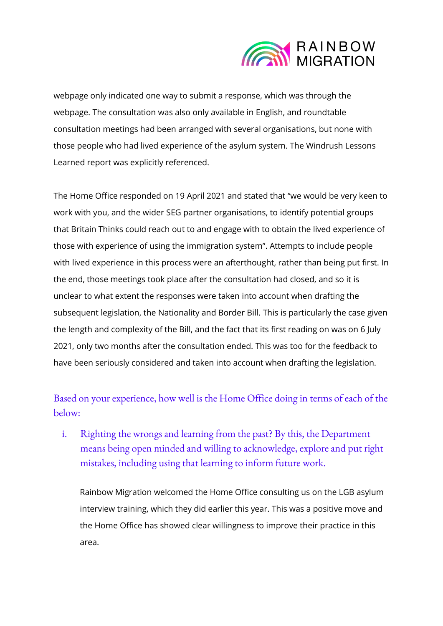

webpage only indicated one way to submit a response, which was through the webpage. The consultation was also only available in English, and roundtable consultation meetings had been arranged with several organisations, but none with those people who had lived experience of the asylum system. The Windrush Lessons Learned report was explicitly referenced.

The Home Office responded on 19 April 2021 and stated that "we would be very keen to work with you, and the wider SEG partner organisations, to identify potential groups that Britain Thinks could reach out to and engage with to obtain the lived experience of those with experience of using the immigration system". Attempts to include people with lived experience in this process were an afterthought, rather than being put first. In the end, those meetings took place after the consultation had closed, and so it is unclear to what extent the responses were taken into account when drafting the subsequent legislation, the Nationality and Border Bill. This is particularly the case given the length and complexity of the Bill, and the fact that its first reading on was on 6 July 2021, only two months after the consultation ended. This was too for the feedback to have been seriously considered and taken into account when drafting the legislation.

Based on your experience, how well is the Home Office doing in terms of each of the below:

i. Righting the wrongs and learning from the past? By this, the Department means being open minded and willing to acknowledge, explore and put right mistakes, including using that learning to inform future work.

Rainbow Migration welcomed the Home Office consulting us on the LGB asylum interview training, which they did earlier this year. This was a positive move and the Home Office has showed clear willingness to improve their practice in this area.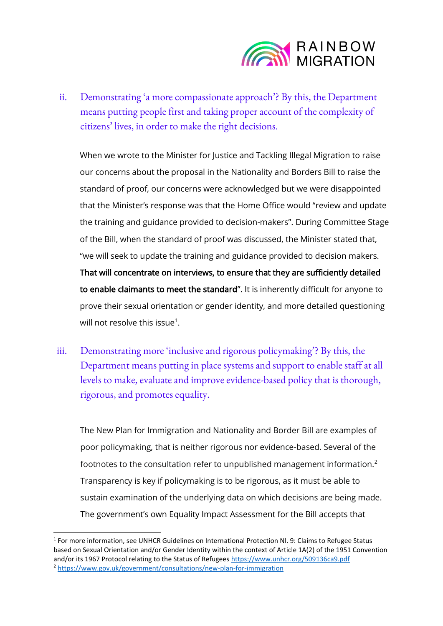

ii. Demonstrating 'a more compassionate approach'? By this, the Department means putting people first and taking proper account of the complexity of citizens' lives, in order to make the right decisions.

When we wrote to the Minister for Justice and Tackling Illegal Migration to raise our concerns about the proposal in the Nationality and Borders Bill to raise the standard of proof, our concerns were acknowledged but we were disappointed that the Minister's response was that the Home Office would "review and update the training and guidance provided to decision-makers". During Committee Stage of the Bill, when the standard of proof was discussed, the Minister stated that, "we will seek to update the training and guidance provided to decision makers. That will concentrate on interviews, to ensure that they are sufficiently detailed to enable claimants to meet the standard". It is inherently difficult for anyone to prove their sexual orientation or gender identity, and more detailed questioning will not resolve this issue $^{\rm 1}.$ 

iii. Demonstrating more 'inclusive and rigorous policymaking'? By this, the Department means putting in place systems and support to enable staff at all levels to make, evaluate and improve evidence-based policy that is thorough, rigorous, and promotes equality.

The New Plan for Immigration and Nationality and Border Bill are examples of poor policymaking, that is neither rigorous nor evidence-based. Several of the footnotes to the consultation refer to unpublished management information.<sup>2</sup> Transparency is key if policymaking is to be rigorous, as it must be able to sustain examination of the underlying data on which decisions are being made. The government's own Equality Impact Assessment for the Bill accepts that

<sup>&</sup>lt;sup>1</sup> For more information, see UNHCR Guidelines on International Protection Nl. 9: Claims to Refugee Status based on Sexual Orientation and/or Gender Identity within the context of Article 1A(2) of the 1951 Convention and/or its 1967 Protocol relating to the Status of Refugees<https://www.unhcr.org/509136ca9.pdf> <sup>2</sup> <https://www.gov.uk/government/consultations/new-plan-for-immigration>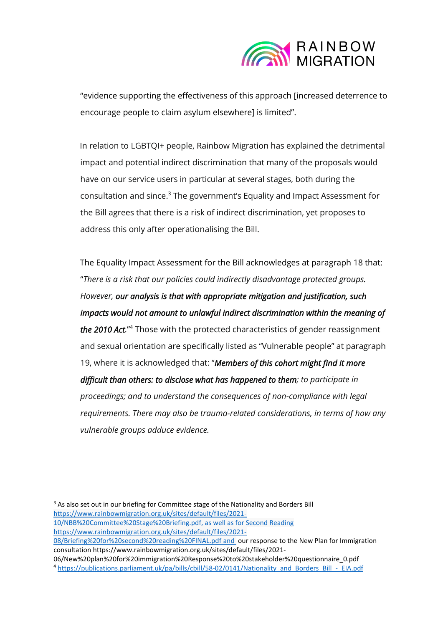

"evidence supporting the effectiveness of this approach [increased deterrence to encourage people to claim asylum elsewhere] is limited".

In relation to LGBTQI+ people, Rainbow Migration has explained the detrimental impact and potential indirect discrimination that many of the proposals would have on our service users in particular at several stages, both during the consultation and since. <sup>3</sup> The government's Equality and Impact Assessment for the Bill agrees that there is a risk of indirect discrimination, yet proposes to address this only after operationalising the Bill.

The Equality Impact Assessment for the Bill acknowledges at paragraph 18 that: "*There is a risk that our policies could indirectly disadvantage protected groups. However, our analysis is that with appropriate mitigation and justification, such impacts would not amount to unlawful indirect discrimination within the meaning of the 2010 Act.*" <sup>4</sup> Those with the protected characteristics of gender reassignment and sexual orientation are specifically listed as "Vulnerable people" at paragraph 19, where it is acknowledged that: "*Members of this cohort might find it more difficult than others: to disclose what has happened to them; to participate in proceedings; and to understand the consequences of non-compliance with legal requirements. There may also be trauma-related considerations, in terms of how any vulnerable groups adduce evidence.*

[08/Briefing%20for%20second%20reading%20FINAL.pdf](https://www.rainbowmigration.org.uk/sites/default/files/2021-08/Briefing%20for%20second%20reading%20FINAL.pdf) and our response to the New Plan for Immigration consultation https://www.rainbowmigration.org.uk/sites/default/files/2021-

06/New%20plan%20for%20immigration%20Response%20to%20stakeholder%20questionnaire\_0.pdf <sup>4</sup> [https://publications.parliament.uk/pa/bills/cbill/58-02/0141/Nationality\\_and\\_Borders\\_Bill\\_-\\_EIA.pdf](https://publications.parliament.uk/pa/bills/cbill/58-02/0141/Nationality_and_Borders_Bill_-_EIA.pdf)

<sup>&</sup>lt;sup>3</sup> As also set out in our briefing for Committee stage of the Nationality and Borders Bill [https://www.rainbowmigration.org.uk/sites/default/files/2021-](https://www.rainbowmigration.org.uk/sites/default/files/2021-10/NBB%20Committee%20Stage%20Briefing.pdf) [10/NBB%20Committee%20Stage%20Briefing.pdf,](https://www.rainbowmigration.org.uk/sites/default/files/2021-10/NBB%20Committee%20Stage%20Briefing.pdf) as well as for Second Reading [https://www.rainbowmigration.org.uk/sites/default/files/2021-](https://www.rainbowmigration.org.uk/sites/default/files/2021-08/Briefing%20for%20second%20reading%20FINAL.pdf)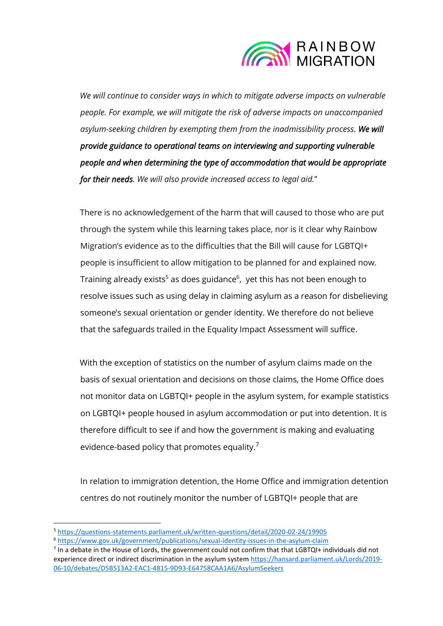

*We will continue to consider ways in which to mitigate adverse impacts on vulnerable people. For example, we will mitigate the risk of adverse impacts on unaccompanied asylum-seeking children by exempting them from the inadmissibility process. We will provide guidance to operational teams on interviewing and supporting vulnerable people and when determining the type of accommodation that would be appropriate for their needs. We will also provide increased access to legal aid.*"

There is no acknowledgement of the harm that will caused to those who are put through the system while this learning takes place, nor is it clear why Rainbow Migration's evidence as to the difficulties that the Bill will cause for LGBTQI+ people is insufficient to allow mitigation to be planned for and explained now. Training already exists<sup>5</sup> as does guidance<sup>6</sup>, yet this has not been enough to resolve issues such as using delay in claiming asylum as a reason for disbelieving someone's sexual orientation or gender identity. We therefore do not believe that the safeguards trailed in the Equality Impact Assessment will suffice.

With the exception of statistics on the number of asylum claims made on the basis of sexual orientation and decisions on those claims, the Home Office does not monitor data on LGBTQI+ people in the asylum system, for example statistics on LGBTQI+ people housed in asylum accommodation or put into detention. It is therefore difficult to see if and how the government is making and evaluating evidence-based policy that promotes equality.<sup>7</sup>

In relation to immigration detention, the Home Office and immigration detention centres do not routinely monitor the number of LGBTQI+ people that are

<sup>5</sup> <https://questions-statements.parliament.uk/written-questions/detail/2020-02-24/19905>

<sup>6</sup> <https://www.gov.uk/government/publications/sexual-identity-issues-in-the-asylum-claim>

 $<sup>7</sup>$  In a debate in the House of Lords, the government could not confirm that that LGBTQI+ individuals did not</sup> experience direct or indirect discrimination in the asylum system [https://hansard.parliament.uk/Lords/2019-](https://hansard.parliament.uk/Lords/2019-06-10/debates/D5B513A2-EAC1-4815-9D93-E64758CAA1A6/AsylumSeekers) [06-10/debates/D5B513A2-EAC1-4815-9D93-E64758CAA1A6/AsylumSeekers](https://hansard.parliament.uk/Lords/2019-06-10/debates/D5B513A2-EAC1-4815-9D93-E64758CAA1A6/AsylumSeekers)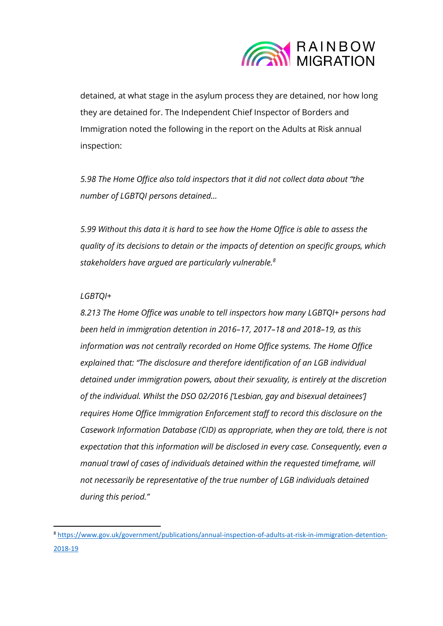

detained, at what stage in the asylum process they are detained, nor how long they are detained for. The Independent Chief Inspector of Borders and Immigration noted the following in the report on the Adults at Risk annual inspection:

*5.98 The Home Office also told inspectors that it did not collect data about "the number of LGBTQI persons detained…* 

*5.99 Without this data it is hard to see how the Home Office is able to assess the quality of its decisions to detain or the impacts of detention on specific groups, which stakeholders have argued are particularly vulnerable.<sup>8</sup>*

## *LGBTQI+*

*8.213 The Home Office was unable to tell inspectors how many LGBTQI+ persons had been held in immigration detention in 2016–17, 2017–18 and 2018–19, as this information was not centrally recorded on Home Office systems. The Home Office explained that: "The disclosure and therefore identification of an LGB individual detained under immigration powers, about their sexuality, is entirely at the discretion of the individual. Whilst the DSO 02/2016 ['Lesbian, gay and bisexual detainees'] requires Home Office Immigration Enforcement staff to record this disclosure on the Casework Information Database (CID) as appropriate, when they are told, there is not expectation that this information will be disclosed in every case. Consequently, even a manual trawl of cases of individuals detained within the requested timeframe, will not necessarily be representative of the true number of LGB individuals detained during this period."* 

<sup>8</sup> [https://www.gov.uk/government/publications/annual-inspection-of-adults-at-risk-in-immigration-detention-](https://www.gov.uk/government/publications/annual-inspection-of-adults-at-risk-in-immigration-detention-2018-19)[2018-19](https://www.gov.uk/government/publications/annual-inspection-of-adults-at-risk-in-immigration-detention-2018-19)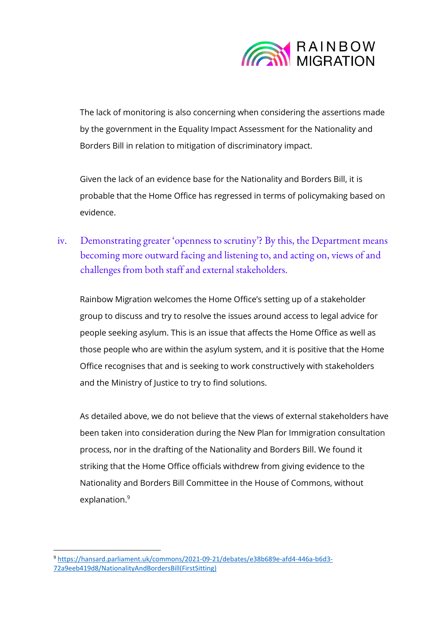

The lack of monitoring is also concerning when considering the assertions made by the government in the Equality Impact Assessment for the Nationality and Borders Bill in relation to mitigation of discriminatory impact.

Given the lack of an evidence base for the Nationality and Borders Bill, it is probable that the Home Office has regressed in terms of policymaking based on evidence.

iv. Demonstrating greater 'openness to scrutiny'? By this, the Department means becoming more outward facing and listening to, and acting on, views of and challenges from both staff and external stakeholders.

Rainbow Migration welcomes the Home Office's setting up of a stakeholder group to discuss and try to resolve the issues around access to legal advice for people seeking asylum. This is an issue that affects the Home Office as well as those people who are within the asylum system, and it is positive that the Home Office recognises that and is seeking to work constructively with stakeholders and the Ministry of Justice to try to find solutions.

As detailed above, we do not believe that the views of external stakeholders have been taken into consideration during the New Plan for Immigration consultation process, nor in the drafting of the Nationality and Borders Bill. We found it striking that the Home Office officials withdrew from giving evidence to the Nationality and Borders Bill Committee in the House of Commons, without explanation.<sup>9</sup>

<sup>9</sup> [https://hansard.parliament.uk/commons/2021-09-21/debates/e38b689e-afd4-446a-b6d3-](https://hansard.parliament.uk/commons/2021-09-21/debates/e38b689e-afd4-446a-b6d3-72a9eeb419d8/NationalityAndBordersBill(FirstSitting)) [72a9eeb419d8/NationalityAndBordersBill\(FirstSitting\)](https://hansard.parliament.uk/commons/2021-09-21/debates/e38b689e-afd4-446a-b6d3-72a9eeb419d8/NationalityAndBordersBill(FirstSitting))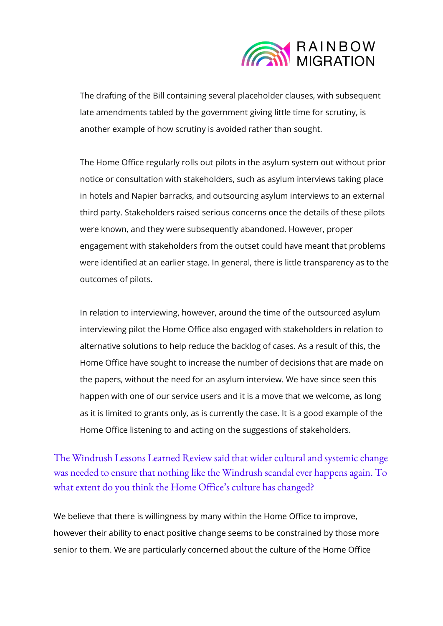

The drafting of the Bill containing several placeholder clauses, with subsequent late amendments tabled by the government giving little time for scrutiny, is another example of how scrutiny is avoided rather than sought.

The Home Office regularly rolls out pilots in the asylum system out without prior notice or consultation with stakeholders, such as asylum interviews taking place in hotels and Napier barracks, and outsourcing asylum interviews to an external third party. Stakeholders raised serious concerns once the details of these pilots were known, and they were subsequently abandoned. However, proper engagement with stakeholders from the outset could have meant that problems were identified at an earlier stage. In general, there is little transparency as to the outcomes of pilots.

In relation to interviewing, however, around the time of the outsourced asylum interviewing pilot the Home Office also engaged with stakeholders in relation to alternative solutions to help reduce the backlog of cases. As a result of this, the Home Office have sought to increase the number of decisions that are made on the papers, without the need for an asylum interview. We have since seen this happen with one of our service users and it is a move that we welcome, as long as it is limited to grants only, as is currently the case. It is a good example of the Home Office listening to and acting on the suggestions of stakeholders.

The Windrush Lessons Learned Review said that wider cultural and systemic change was needed to ensure that nothing like the Windrush scandal ever happens again. To what extent do you think the Home Office's culture has changed?

We believe that there is willingness by many within the Home Office to improve, however their ability to enact positive change seems to be constrained by those more senior to them. We are particularly concerned about the culture of the Home Office